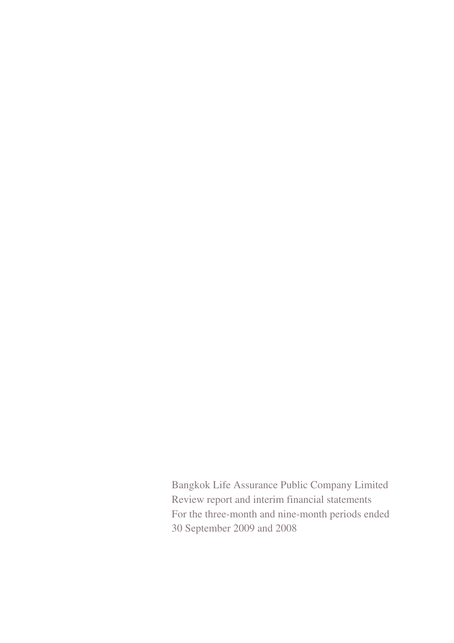Bangkok Life Assurance Public Company Limited Review report and interim financial statements For the three-month and nine-month periods ended 30 September 2009 and 2008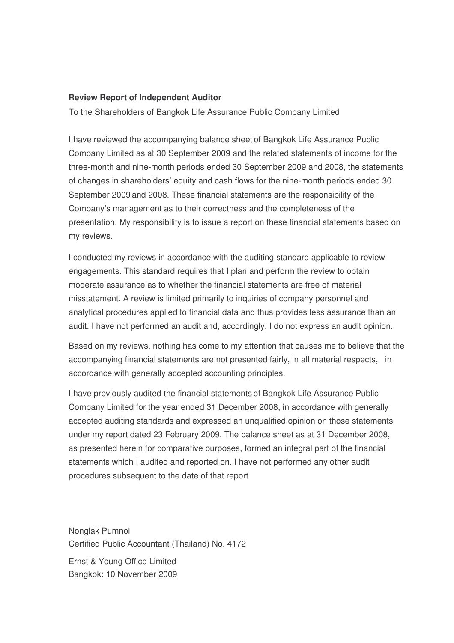### **Review Report of Independent Auditor**

To the Shareholders of Bangkok Life Assurance Public Company Limited

I have reviewed the accompanying balance sheet of Bangkok Life Assurance Public Company Limited as at 30 September 2009 and the related statements of income for the three-month and nine-month periods ended 30 September 2009 and 2008, the statements of changes in shareholders' equity and cash flows for the nine-month periods ended 30 September 2009 and 2008. These financial statements are the responsibility of the Company's management as to their correctness and the completeness of the presentation. My responsibility is to issue a report on these financial statements based on my reviews.

I conducted my reviews in accordance with the auditing standard applicable to review engagements. This standard requires that I plan and perform the review to obtain moderate assurance as to whether the financial statements are free of material misstatement. A review is limited primarily to inquiries of company personnel and analytical procedures applied to financial data and thus provides less assurance than an audit. I have not performed an audit and, accordingly, I do not express an audit opinion.

Based on my reviews, nothing has come to my attention that causes me to believe that the accompanying financial statements are not presented fairly, in all material respects, in accordance with generally accepted accounting principles.

I have previously audited the financial statements of Bangkok Life Assurance Public Company Limited for the year ended 31 December 2008, in accordance with generally accepted auditing standards and expressed an unqualified opinion on those statements under my report dated 23 February 2009. The balance sheet as at 31 December 2008, as presented herein for comparative purposes, formed an integral part of the financial statements which I audited and reported on. I have not performed any other audit procedures subsequent to the date of that report.

Nonglak Pumnoi Certified Public Accountant (Thailand) No. 4172

Ernst & Young Office Limited Bangkok: 10 November 2009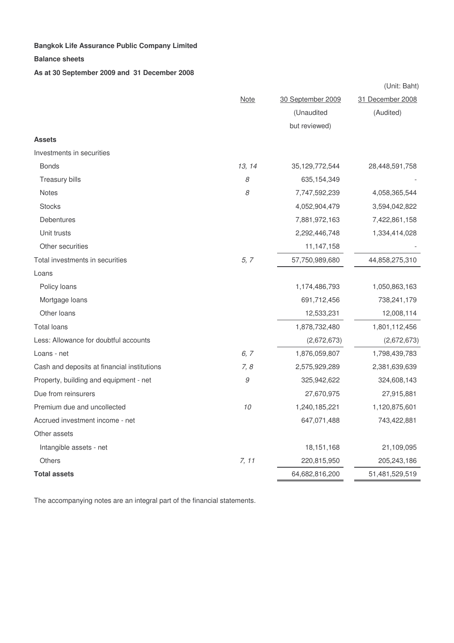#### **Balance sheets**

**As at 30 September 2009 and 31 December 2008**

|                                             |              |                   | (Unit: Baht)     |
|---------------------------------------------|--------------|-------------------|------------------|
|                                             | <b>Note</b>  | 30 September 2009 | 31 December 2008 |
|                                             |              | (Unaudited        | (Audited)        |
|                                             |              | but reviewed)     |                  |
| <b>Assets</b>                               |              |                   |                  |
| Investments in securities                   |              |                   |                  |
| <b>Bonds</b>                                | 13, 14       | 35, 129, 772, 544 | 28,448,591,758   |
| Treasury bills                              | $\mathcal S$ | 635, 154, 349     |                  |
| <b>Notes</b>                                | 8            | 7,747,592,239     | 4,058,365,544    |
| <b>Stocks</b>                               |              | 4,052,904,479     | 3,594,042,822    |
| Debentures                                  |              | 7,881,972,163     | 7,422,861,158    |
| Unit trusts                                 |              | 2,292,446,748     | 1,334,414,028    |
| Other securities                            |              | 11,147,158        |                  |
| Total investments in securities             | 5, 7         | 57,750,989,680    | 44,858,275,310   |
| Loans                                       |              |                   |                  |
| Policy loans                                |              | 1,174,486,793     | 1,050,863,163    |
| Mortgage loans                              |              | 691,712,456       | 738,241,179      |
| Other loans                                 |              | 12,533,231        | 12,008,114       |
| <b>Total loans</b>                          |              | 1,878,732,480     | 1,801,112,456    |
| Less: Allowance for doubtful accounts       |              | (2,672,673)       | (2,672,673)      |
| Loans - net                                 | 6, 7         | 1,876,059,807     | 1,798,439,783    |
| Cash and deposits at financial institutions | 7,8          | 2,575,929,289     | 2,381,639,639    |
| Property, building and equipment - net      | $\mathcal G$ | 325,942,622       | 324,608,143      |
| Due from reinsurers                         |              | 27,670,975        | 27,915,881       |
| Premium due and uncollected                 | 10           | 1,240,185,221     | 1,120,875,601    |
| Accrued investment income - net             |              | 647,071,488       | 743,422,881      |
| Other assets                                |              |                   |                  |
| Intangible assets - net                     |              | 18, 151, 168      | 21,109,095       |
| <b>Others</b>                               | 7, 11        | 220,815,950       | 205,243,186      |
| <b>Total assets</b>                         |              | 64,682,816,200    | 51,481,529,519   |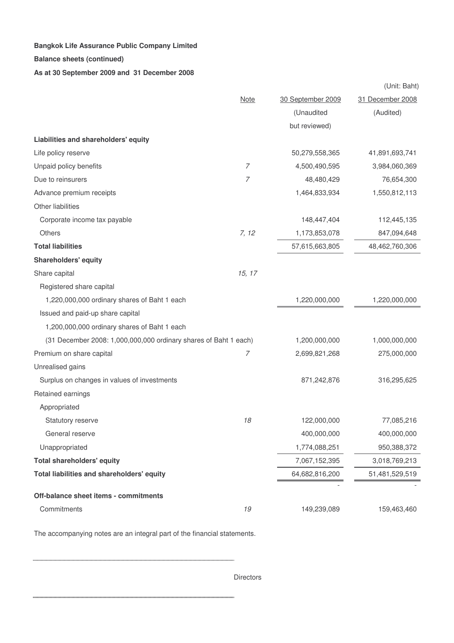### **Balance sheets (continued)**

### **As at 30 September 2009 and 31 December 2008**

|                                                                  |                |                   | (Unit: Baht)     |
|------------------------------------------------------------------|----------------|-------------------|------------------|
|                                                                  | <b>Note</b>    | 30 September 2009 | 31 December 2008 |
|                                                                  |                | (Unaudited        | (Audited)        |
|                                                                  |                | but reviewed)     |                  |
| Liabilities and shareholders' equity                             |                |                   |                  |
| Life policy reserve                                              |                | 50,279,558,365    | 41,891,693,741   |
| Unpaid policy benefits                                           | 7              | 4,500,490,595     | 3,984,060,369    |
| Due to reinsurers                                                | $\overline{7}$ | 48,480,429        | 76,654,300       |
| Advance premium receipts                                         |                | 1,464,833,934     | 1,550,812,113    |
| Other liabilities                                                |                |                   |                  |
| Corporate income tax payable                                     |                | 148,447,404       | 112,445,135      |
| <b>Others</b>                                                    | 7, 12          | 1,173,853,078     | 847,094,648      |
| <b>Total liabilities</b>                                         |                | 57,615,663,805    | 48,462,760,306   |
| <b>Shareholders' equity</b>                                      |                |                   |                  |
| Share capital                                                    | 15, 17         |                   |                  |
| Registered share capital                                         |                |                   |                  |
| 1,220,000,000 ordinary shares of Baht 1 each                     |                | 1,220,000,000     | 1,220,000,000    |
| Issued and paid-up share capital                                 |                |                   |                  |
| 1,200,000,000 ordinary shares of Baht 1 each                     |                |                   |                  |
| (31 December 2008: 1,000,000,000 ordinary shares of Baht 1 each) |                | 1,200,000,000     | 1,000,000,000    |
| Premium on share capital                                         | $\overline{7}$ | 2,699,821,268     | 275,000,000      |
| Unrealised gains                                                 |                |                   |                  |
| Surplus on changes in values of investments                      |                | 871,242,876       | 316,295,625      |
| Retained earnings                                                |                |                   |                  |
| Appropriated                                                     |                |                   |                  |
| <b>Statutory reserve</b>                                         | 18             | 122,000,000       | 77,085,216       |
| General reserve                                                  |                | 400,000,000       | 400,000,000      |
| Unappropriated                                                   |                | 1,774,088,251     | 950,388,372      |
| <b>Total shareholders' equity</b>                                |                | 7,067,152,395     | 3,018,769,213    |
| Total liabilities and shareholders' equity                       |                | 64,682,816,200    | 51,481,529,519   |
|                                                                  |                |                   |                  |
| Off-balance sheet items - commitments                            |                |                   |                  |
| Commitments                                                      | 19             | 149,239,089       | 159,463,460      |

The accompanying notes are an integral part of the financial statements.

. . . . . . . . .

. . . . . . . . . . . . . . . .

. . . . . . . . . .

**Directors**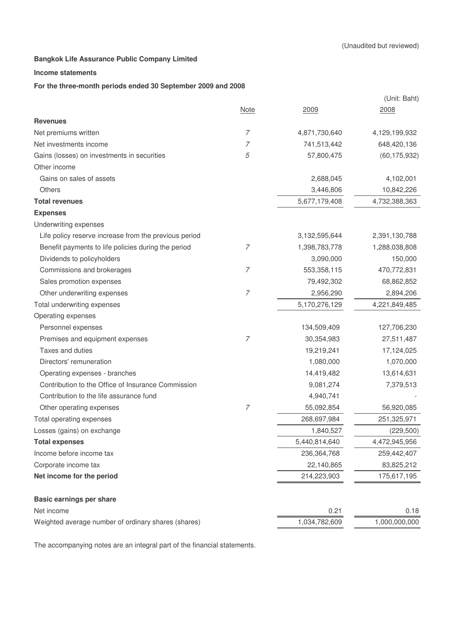### **Income statements**

### **For the three-month periods ended 30 September 2009 and 2008**

|                                                       |                |                  | (Unit: Baht)   |
|-------------------------------------------------------|----------------|------------------|----------------|
|                                                       | <b>Note</b>    | 2009             | 2008           |
| <b>Revenues</b>                                       |                |                  |                |
| Net premiums written                                  | $\overline{7}$ | 4,871,730,640    | 4,129,199,932  |
| Net investments income                                | 7              | 741,513,442      | 648,420,136    |
| Gains (losses) on investments in securities           | 5              | 57,800,475       | (60, 175, 932) |
| Other income                                          |                |                  |                |
| Gains on sales of assets                              |                | 2,688,045        | 4,102,001      |
| Others                                                |                | 3,446,806        | 10,842,226     |
| <b>Total revenues</b>                                 |                | 5,677,179,408    | 4,732,388,363  |
| <b>Expenses</b>                                       |                |                  |                |
| Underwriting expenses                                 |                |                  |                |
| Life policy reserve increase from the previous period |                | 3, 132, 595, 644 | 2,391,130,788  |
| Benefit payments to life policies during the period   | $\overline{7}$ | 1,398,783,778    | 1,288,038,808  |
| Dividends to policyholders                            |                | 3,090,000        | 150,000        |
| Commissions and brokerages                            | $\overline{7}$ | 553,358,115      | 470,772,831    |
| Sales promotion expenses                              |                | 79,492,302       | 68,862,852     |
| Other underwriting expenses                           | $\overline{7}$ | 2,956,290        | 2,894,206      |
| Total underwriting expenses                           |                | 5,170,276,129    | 4,221,849,485  |
| Operating expenses                                    |                |                  |                |
| Personnel expenses                                    |                | 134,509,409      | 127,706,230    |
| Premises and equipment expenses                       | $\overline{7}$ | 30,354,983       | 27,511,487     |
| Taxes and duties                                      |                | 19,219,241       | 17,124,025     |
| Directors' remuneration                               |                | 1,080,000        | 1,070,000      |
| Operating expenses - branches                         |                | 14,419,482       | 13,614,631     |
| Contribution to the Office of Insurance Commission    |                | 9,081,274        | 7,379,513      |
| Contribution to the life assurance fund               |                | 4,940,741        |                |
| Other operating expenses                              | $\overline{7}$ | 55,092,854       | 56,920,085     |
| Total operating expenses                              |                | 268,697,984      | 251,325,971    |
| Losses (gains) on exchange                            |                | 1,840,527        | (229, 500)     |
| <b>Total expenses</b>                                 |                | 5,440,814,640    | 4,472,945,956  |
| Income before income tax                              |                | 236,364,768      | 259,442,407    |
| Corporate income tax                                  |                | 22,140,865       | 83,825,212     |
| Net income for the period                             |                | 214,223,903      | 175,617,195    |
| Basic earnings per share                              |                |                  |                |
| Net income                                            |                | 0.21             | 0.18           |
| Weighted average number of ordinary shares (shares)   |                | 1,034,782,609    | 1,000,000,000  |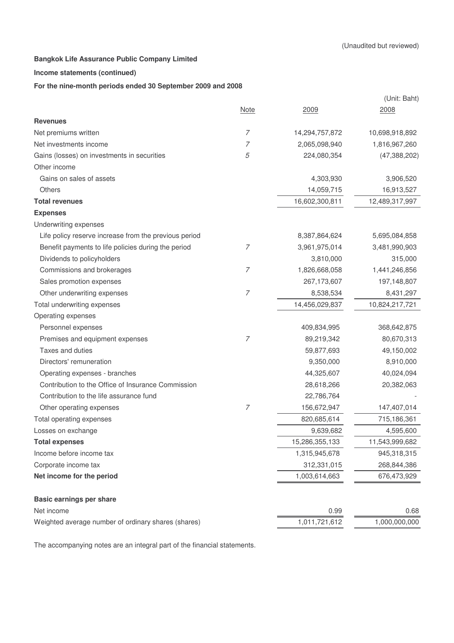### **Income statements (continued)**

#### **For the nine-month periods ended 30 September 2009 and 2008**

|                                                       |                |                | (Unit: Baht)   |
|-------------------------------------------------------|----------------|----------------|----------------|
|                                                       | <b>Note</b>    | 2009           | 2008           |
| <b>Revenues</b>                                       |                |                |                |
| Net premiums written                                  | $\overline{7}$ | 14,294,757,872 | 10,698,918,892 |
| Net investments income                                | 7              | 2,065,098,940  | 1,816,967,260  |
| Gains (losses) on investments in securities           | 5              | 224,080,354    | (47, 388, 202) |
| Other income                                          |                |                |                |
| Gains on sales of assets                              |                | 4,303,930      | 3,906,520      |
| <b>Others</b>                                         |                | 14,059,715     | 16,913,527     |
| <b>Total revenues</b>                                 |                | 16,602,300,811 | 12,489,317,997 |
| <b>Expenses</b>                                       |                |                |                |
| Underwriting expenses                                 |                |                |                |
| Life policy reserve increase from the previous period |                | 8,387,864,624  | 5,695,084,858  |
| Benefit payments to life policies during the period   | 7              | 3,961,975,014  | 3,481,990,903  |
| Dividends to policyholders                            |                | 3,810,000      | 315,000        |
| Commissions and brokerages                            | $\overline{7}$ | 1,826,668,058  | 1,441,246,856  |
| Sales promotion expenses                              |                | 267,173,607    | 197,148,807    |
| Other underwriting expenses                           | $\overline{7}$ | 8,538,534      | 8,431,297      |
| Total underwriting expenses                           |                | 14,456,029,837 | 10,824,217,721 |
| Operating expenses                                    |                |                |                |
| Personnel expenses                                    |                | 409,834,995    | 368,642,875    |
| Premises and equipment expenses                       | $\overline{7}$ | 89,219,342     | 80,670,313     |
| Taxes and duties                                      |                | 59,877,693     | 49,150,002     |
| Directors' remuneration                               |                | 9,350,000      | 8,910,000      |
| Operating expenses - branches                         |                | 44,325,607     | 40,024,094     |
| Contribution to the Office of Insurance Commission    |                | 28,618,266     | 20,382,063     |
| Contribution to the life assurance fund               |                | 22,786,764     |                |
| Other operating expenses                              | $\overline{7}$ | 156,672,947    | 147,407,014    |
| Total operating expenses                              |                | 820,685,614    | 715,186,361    |
| Losses on exchange                                    |                | 9,639,682      | 4,595,600      |
| <b>Total expenses</b>                                 |                | 15,286,355,133 | 11,543,999,682 |
| Income before income tax                              |                | 1,315,945,678  | 945,318,315    |
| Corporate income tax                                  |                | 312,331,015    | 268,844,386    |
| Net income for the period                             |                | 1,003,614,663  | 676,473,929    |
| Basic earnings per share                              |                |                |                |
| Net income                                            |                | 0.99           | 0.68           |
| Weighted average number of ordinary shares (shares)   |                | 1,011,721,612  | 1,000,000,000  |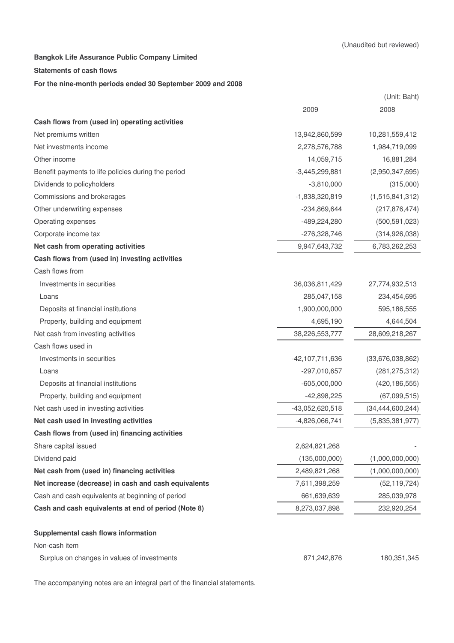#### **Statements of cash flows**

### **For the nine-month periods ended 30 September 2009 and 2008**

|                                                      |                  | (Unit: Baht)        |
|------------------------------------------------------|------------------|---------------------|
|                                                      | 2009             | 2008                |
| Cash flows from (used in) operating activities       |                  |                     |
| Net premiums written                                 | 13,942,860,599   | 10,281,559,412      |
| Net investments income                               | 2,278,576,788    | 1,984,719,099       |
| Other income                                         | 14,059,715       | 16,881,284          |
| Benefit payments to life policies during the period  | $-3,445,299,881$ | (2,950,347,695)     |
| Dividends to policyholders                           | $-3,810,000$     | (315,000)           |
| Commissions and brokerages                           | $-1,838,320,819$ | (1,515,841,312)     |
| Other underwriting expenses                          | $-234,869,644$   | (217, 876, 474)     |
| Operating expenses                                   | -489,224,280     | (500, 591, 023)     |
| Corporate income tax                                 | $-276,328,746$   | (314, 926, 038)     |
| Net cash from operating activities                   | 9,947,643,732    | 6,783,262,253       |
| Cash flows from (used in) investing activities       |                  |                     |
| Cash flows from                                      |                  |                     |
| Investments in securities                            | 36,036,811,429   | 27,774,932,513      |
| Loans                                                | 285,047,158      | 234,454,695         |
| Deposits at financial institutions                   | 1,900,000,000    | 595,186,555         |
| Property, building and equipment                     | 4,695,190        | 4,644,504           |
| Net cash from investing activities                   | 38,226,553,777   | 28,609,218,267      |
| Cash flows used in                                   |                  |                     |
| Investments in securities                            | -42,107,711,636  | (33,676,038,862)    |
| Loans                                                | $-297,010,657$   | (281, 275, 312)     |
| Deposits at financial institutions                   | $-605,000,000$   | (420, 186, 555)     |
| Property, building and equipment                     | $-42,898,225$    | (67,099,515)        |
| Net cash used in investing activities                | -43,052,620,518  | (34, 444, 600, 244) |
| Net cash used in investing activities                | $-4,826,066,741$ | (5,835,381,977)     |
| Cash flows from (used in) financing activities       |                  |                     |
| Share capital issued                                 | 2,624,821,268    |                     |
| Dividend paid                                        | (135,000,000)    | (1,000,000,000)     |
| Net cash from (used in) financing activities         | 2,489,821,268    | (1,000,000,000)     |
| Net increase (decrease) in cash and cash equivalents | 7,611,398,259    | (52, 119, 724)      |
| Cash and cash equivalents at beginning of period     | 661,639,639      | 285,039,978         |
| Cash and cash equivalents at end of period (Note 8)  | 8,273,037,898    | 232,920,254         |
| Supplemental cash flows information                  |                  |                     |
| Non-cash item                                        |                  |                     |
| Surplus on changes in values of investments          | 871,242,876      | 180,351,345         |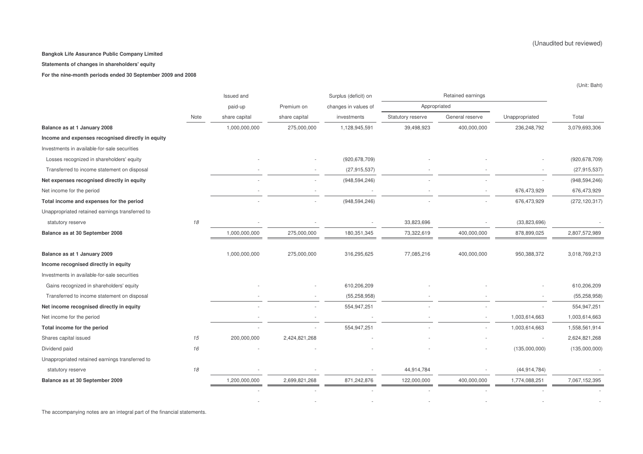#### **Statements of changes in shareholders' equity**

**For the nine-month periods ended 30 September 2009 and 2008**

|                                                   |      | Issued and    |               | Surplus (deficit) on | Retained earnings |                 |                |                 |
|---------------------------------------------------|------|---------------|---------------|----------------------|-------------------|-----------------|----------------|-----------------|
|                                                   |      | paid-up       | Premium on    | changes in values of | Appropriated      |                 |                |                 |
|                                                   | Note | share capital | share capital | investments          | Statutory reserve | General reserve | Unappropriated | Total           |
| Balance as at 1 January 2008                      |      | 1,000,000,000 | 275,000,000   | 1,128,945,591        | 39,498,923        | 400,000,000     | 236,248,792    | 3,079,693,306   |
| Income and expenses recognised directly in equity |      |               |               |                      |                   |                 |                |                 |
| Investments in available-for-sale securities      |      |               |               |                      |                   |                 |                |                 |
| Losses recognized in shareholders' equity         |      |               |               | (920, 678, 709)      |                   |                 |                | (920, 678, 709) |
| Transferred to income statement on disposal       |      |               |               | (27, 915, 537)       |                   |                 |                | (27, 915, 537)  |
| Net expenses recognised directly in equity        |      |               |               | (948, 594, 246)      |                   |                 |                | (948, 594, 246) |
| Net income for the period                         |      |               |               |                      |                   |                 | 676,473,929    | 676,473,929     |
| Total income and expenses for the period          |      |               |               | (948, 594, 246)      |                   |                 | 676,473,929    | (272, 120, 317) |
| Unappropriated retained earnings transferred to   |      |               |               |                      |                   |                 |                |                 |
| statutory reserve                                 | 18   |               |               |                      | 33,823,696        |                 | (33,823,696)   |                 |
| Balance as at 30 September 2008                   |      | 1,000,000,000 | 275,000,000   | 180, 351, 345        | 73,322,619        | 400,000,000     | 878,899,025    | 2,807,572,989   |
| Balance as at 1 January 2009                      |      | 1,000,000,000 | 275,000,000   | 316,295,625          | 77,085,216        | 400,000,000     | 950,388,372    | 3,018,769,213   |
| Income recognised directly in equity              |      |               |               |                      |                   |                 |                |                 |
| Investments in available-for-sale securities      |      |               |               |                      |                   |                 |                |                 |
| Gains recognized in shareholders' equity          |      |               |               | 610,206,209          |                   |                 |                | 610,206,209     |
| Transferred to income statement on disposal       |      |               |               | (55, 258, 958)       |                   |                 |                | (55, 258, 958)  |
| Net income recognised directly in equity          |      |               |               | 554,947,251          |                   |                 |                | 554,947,251     |
| Net income for the period                         |      |               |               |                      |                   |                 | 1,003,614,663  | 1,003,614,663   |
| Total income for the period                       |      |               |               | 554,947,251          |                   |                 | 1,003,614,663  | 1,558,561,914   |
| Shares capital issued                             | 15   | 200,000,000   | 2,424,821,268 |                      |                   |                 |                | 2,624,821,268   |
| Dividend paid                                     | 16   |               |               |                      |                   |                 | (135,000,000)  | (135,000,000)   |
| Unappropriated retained earnings transferred to   |      |               |               |                      |                   |                 |                |                 |
| statutory reserve                                 | 18   |               |               |                      | 44,914,784        |                 | (44, 914, 784) |                 |
| Balance as at 30 September 2009                   |      | 1,200,000,000 | 2,699,821,268 | 871,242,876          | 122,000,000       | 400,000,000     | 1,774,088,251  | 7,067,152,395   |
|                                                   |      |               |               |                      |                   |                 |                |                 |
|                                                   |      |               |               |                      |                   |                 |                |                 |

The accompanying notes are an integral part of the financial statements.

(Unit: Baht)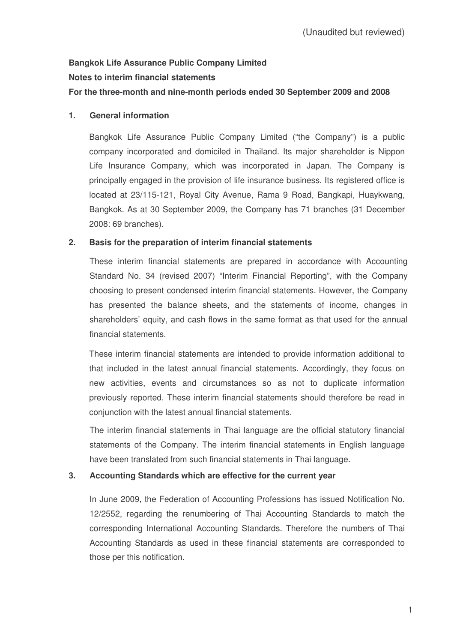# **Bangkok Life Assurance Public Company Limited Notes to interim financial statements**

# **For the three-month and nine-month periods ended 30 September 2009 and 2008**

# **1. General information**

Bangkok Life Assurance Public Company Limited ("the Company") is a public company incorporated and domiciled in Thailand. Its major shareholder is Nippon Life Insurance Company, which was incorporated in Japan. The Company is principally engaged in the provision of life insurance business. Its registered office is located at 23/115-121, Royal City Avenue, Rama 9 Road, Bangkapi, Huaykwang, Bangkok. As at 30 September 2009, the Company has 71 branches (31 December 2008: 69 branches).

# **2. Basis for the preparation of interim financial statements**

These interim financial statements are prepared in accordance with Accounting Standard No. 34 (revised 2007) "Interim Financial Reporting", with the Company choosing to present condensed interim financial statements. However, the Company has presented the balance sheets, and the statements of income, changes in shareholders' equity, and cash flows in the same format as that used for the annual financial statements.

These interim financial statements are intended to provide information additional to that included in the latest annual financial statements. Accordingly, they focus on new activities, events and circumstances so as not to duplicate information previously reported. These interim financial statements should therefore be read in conjunction with the latest annual financial statements.

The interim financial statements in Thai language are the official statutory financial statements of the Company. The interim financial statements in English language have been translated from such financial statements in Thai language.

# **3. Accounting Standards which are effective for the current year**

In June 2009, the Federation of Accounting Professions has issued Notification No. 12/2552, regarding the renumbering of Thai Accounting Standards to match the corresponding International Accounting Standards. Therefore the numbers of Thai Accounting Standards as used in these financial statements are corresponded to those per this notification.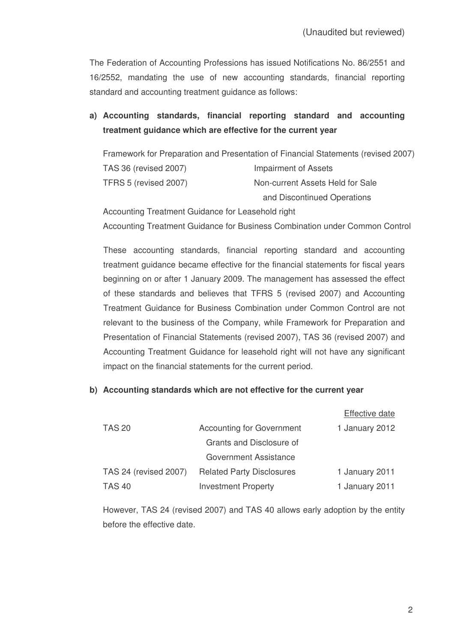The Federation of Accounting Professions has issued Notifications No. 86/2551 and 16/2552, mandating the use of new accounting standards, financial reporting standard and accounting treatment guidance as follows:

# **a) Accounting standards, financial reporting standard and accounting treatment guidance which are effective for the current year**

Framework for Preparation and Presentation of Financial Statements (revised 2007) TAS 36 (revised 2007) Impairment of Assets TFRS 5 (revised 2007) Non-current Assets Held for Sale and Discontinued Operations

Accounting Treatment Guidance for Leasehold right Accounting Treatment Guidance for Business Combination under Common Control

These accounting standards, financial reporting standard and accounting treatment guidance became effective for the financial statements for fiscal years beginning on or after 1 January 2009. The management has assessed the effect of these standards and believes that TFRS 5 (revised 2007) and Accounting Treatment Guidance for Business Combination under Common Control are not relevant to the business of the Company, while Framework for Preparation and Presentation of Financial Statements (revised 2007), TAS 36 (revised 2007) and Accounting Treatment Guidance for leasehold right will not have any significant impact on the financial statements for the current period.

### **b) Accounting standards which are not effective for the current year**

|                       |                                  | <b>Effective date</b> |
|-----------------------|----------------------------------|-----------------------|
| <b>TAS 20</b>         | <b>Accounting for Government</b> | 1 January 2012        |
|                       | Grants and Disclosure of         |                       |
|                       | Government Assistance            |                       |
| TAS 24 (revised 2007) | <b>Related Party Disclosures</b> | 1 January 2011        |
| <b>TAS 40</b>         | <b>Investment Property</b>       | 1 January 2011        |

However, TAS 24 (revised 2007) and TAS 40 allows early adoption by the entity before the effective date.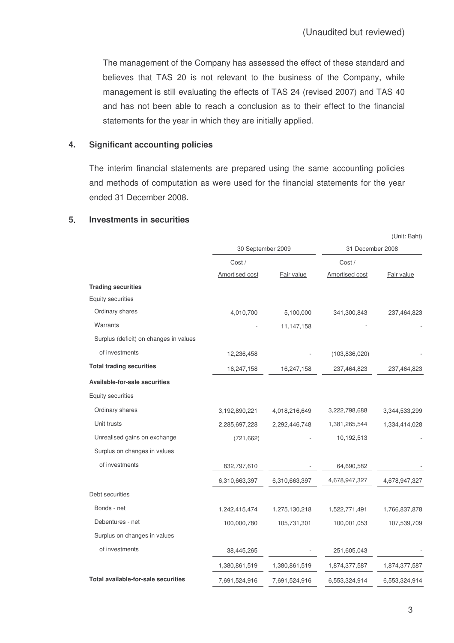The management of the Company has assessed the effect of these standard and believes that TAS 20 is not relevant to the business of the Company, while management is still evaluating the effects of TAS 24 (revised 2007) and TAS 40 and has not been able to reach a conclusion as to their effect to the financial statements for the year in which they are initially applied.

### **4. Significant accounting policies**

The interim financial statements are prepared using the same accounting policies and methods of computation as were used for the financial statements for the year ended 31 December 2008.

### **5 Investments in securities**

|                                        |                   |               | (UIIII. Dalit)   |               |  |
|----------------------------------------|-------------------|---------------|------------------|---------------|--|
|                                        | 30 September 2009 |               | 31 December 2008 |               |  |
|                                        | Cost/             |               | Cost /           |               |  |
|                                        | Amortised cost    | Fair value    | Amortised cost   | Fair value    |  |
| <b>Trading securities</b>              |                   |               |                  |               |  |
| <b>Equity securities</b>               |                   |               |                  |               |  |
| Ordinary shares                        | 4,010,700         | 5,100,000     | 341,300,843      | 237,464,823   |  |
| Warrants                               |                   | 11, 147, 158  |                  |               |  |
| Surplus (deficit) on changes in values |                   |               |                  |               |  |
| of investments                         | 12,236,458        |               | (103, 836, 020)  |               |  |
| <b>Total trading securities</b>        | 16,247,158        | 16,247,158    | 237,464,823      | 237,464,823   |  |
| Available-for-sale securities          |                   |               |                  |               |  |
| Equity securities                      |                   |               |                  |               |  |
| Ordinary shares                        | 3,192,890,221     | 4,018,216,649 | 3,222,798,688    | 3,344,533,299 |  |
| Unit trusts                            | 2,285,697,228     | 2,292,446,748 | 1,381,265,544    | 1,334,414,028 |  |
| Unrealised gains on exchange           | (721, 662)        |               | 10,192,513       |               |  |
| Surplus on changes in values           |                   |               |                  |               |  |
| of investments                         | 832,797,610       |               | 64,690,582       |               |  |
|                                        | 6,310,663,397     | 6,310,663,397 | 4,678,947,327    | 4,678,947,327 |  |
| Debt securities                        |                   |               |                  |               |  |
| Bonds - net                            | 1,242,415,474     | 1,275,130,218 | 1,522,771,491    | 1,766,837,878 |  |
| Debentures - net                       | 100,000,780       | 105,731,301   | 100,001,053      | 107,539,709   |  |
| Surplus on changes in values           |                   |               |                  |               |  |
| of investments                         | 38,445,265        |               | 251,605,043      |               |  |
|                                        | 1,380,861,519     | 1,380,861,519 | 1,874,377,587    | 1,874,377,587 |  |
| Total available-for-sale securities    | 7,691,524,916     | 7,691,524,916 | 6,553,324,914    | 6,553,324,914 |  |

(Unit: Baht)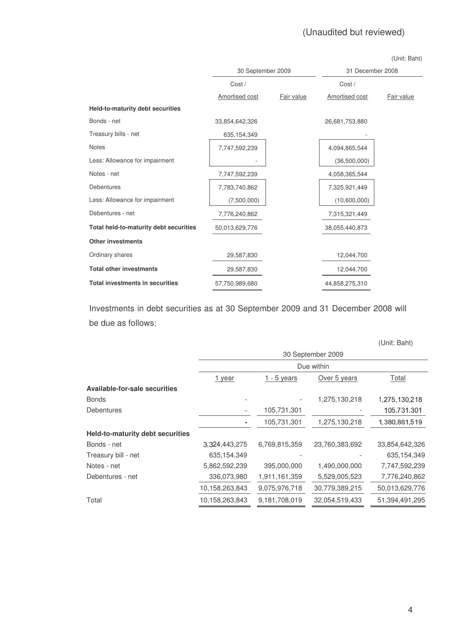| (Unit: Baht) |  |
|--------------|--|
|--------------|--|

|                                        | 30 September 2009 |            | 31 December 2008 |            |
|----------------------------------------|-------------------|------------|------------------|------------|
|                                        | Cost /            |            | Cost /           |            |
|                                        | Amortised cost    | Fair value | Amortised cost   | Fair value |
| Held-to-maturity debt securities       |                   |            |                  |            |
| Bonds - net                            | 33,854,642,326    |            | 26,681,753,880   |            |
| Treasury bills - net                   | 635,154,349       |            |                  |            |
| <b>Notes</b>                           | 7,747,592,239     |            | 4,094,865,544    |            |
| Less: Allowance for impairment         |                   |            | (36,500,000)     |            |
| Notes - net                            | 7,747,592,239     |            | 4,058,365,544    |            |
| <b>Debentures</b>                      | 7,783,740,862     |            | 7,325,921,449    |            |
| Less: Allowance for impairment         | (7,500,000)       |            | (10,600,000)     |            |
| Debentures - net                       | 7,776,240,862     |            | 7,315,321,449    |            |
| Total held-to-maturity debt securities | 50,013,629,776    |            | 38,055,440,873   |            |
| <b>Other investments</b>               |                   |            |                  |            |
| Ordinary shares                        | 29,587,830        |            | 12,044,700       |            |
| <b>Total other investments</b>         | 29,587,830        |            | 12,044,700       |            |
| <b>Total investments in securities</b> | 57,750,989,680    |            | 44,858,275,310   |            |

Investments in debt securities as at 30 September 2009 and 31 December 2008 will be due as follows

|                                         |                |                    |                   | (Unit: Baht)   |
|-----------------------------------------|----------------|--------------------|-------------------|----------------|
|                                         |                |                    | 30 September 2009 |                |
|                                         |                |                    | Due within        |                |
|                                         | <u>1 year</u>  | <u>1 - 5 years</u> | Over 5 years      | Total          |
| <b>Available-for-sale securities</b>    |                |                    |                   |                |
| <b>Bonds</b>                            |                |                    | 1,275,130,218     | 1,275,130,218  |
| Debentures                              |                | 105,731,301        |                   | 105,731,301    |
|                                         |                | 105,731,301        | 1,275,130,218     | 1,380,861,519  |
| <b>Held-to-maturity debt securities</b> |                |                    |                   |                |
| Bonds - net                             | 3,324,443,275  | 6,769,815,359      | 23,760,383,692    | 33,854,642,326 |
| Treasury bill - net                     | 635,154,349    |                    |                   | 635,154,349    |
| Notes - net                             | 5,862,592,239  | 395,000,000        | 1,490,000,000     | 7,747,592,239  |
| Debentures - net                        | 336,073,980    | 1,911,161,359      | 5,529,005,523     | 7,776,240,862  |
|                                         | 10,158,263,843 | 9,075,976,718      | 30,779,389,215    | 50,013,629,776 |
| Total                                   | 10,158,263,843 | 9,181,708,019      | 32,054,519,433    | 51,394,491,295 |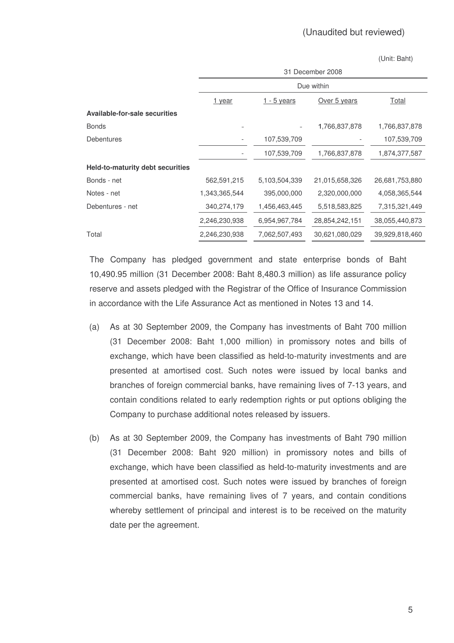(Unit: Baht)

|                                  | 31 December 2008 |                    |                |                |  |  |
|----------------------------------|------------------|--------------------|----------------|----------------|--|--|
|                                  |                  |                    | Due within     |                |  |  |
|                                  | 1 year           | <u>1 - 5 years</u> | Over 5 years   | Total          |  |  |
| Available-for-sale securities    |                  |                    |                |                |  |  |
| <b>Bonds</b>                     |                  |                    | 1,766,837,878  | 1,766,837,878  |  |  |
| Debentures                       | -                | 107,539,709        |                | 107,539,709    |  |  |
|                                  |                  | 107,539,709        | 1,766,837,878  | 1,874,377,587  |  |  |
| Held-to-maturity debt securities |                  |                    |                |                |  |  |
| Bonds - net                      | 562,591,215      | 5,103,504,339      | 21,015,658,326 | 26,681,753,880 |  |  |
| Notes - net                      | 1,343,365,544    | 395,000,000        | 2,320,000,000  | 4,058,365,544  |  |  |
| Debentures - net                 | 340,274,179      | 1,456,463,445      | 5,518,583,825  | 7,315,321,449  |  |  |
|                                  | 2,246,230,938    | 6,954,967,784      | 28,854,242,151 | 38,055,440,873 |  |  |
| Total                            | 2,246,230,938    | 7,062,507,493      | 30,621,080,029 | 39,929,818,460 |  |  |

The Company has pledged government and state enterprise bonds of Baht ,490.95 million (31 December 2008: Baht 8,480.3 million) as life assurance policy reserve and assets pledged with the Registrar of the Office of Insurance Commission in accordance with the Life Assurance Act as mentioned in Notes 13 and 14.

- (a) As at 30 September 2009, the Company has investments of Baht 700 million (31 December 2008: Baht 1,000 million) in promissory notes and bills of exchange, which have been classified as held-to-maturity investments and are presented at amortised cost. Such notes were issued by local banks and branches of foreign commercial banks, have remaining lives of 7-13 years, and contain conditions related to early redemption rights or put options obliging the Company to purchase additional notes released by issuers.
- (b) As at 30 September 2009, the Company has investments of Baht 790 million (31 December 2008: Baht 920 million) in promissory notes and bills of exchange, which have been classified as held-to-maturity investments and are presented at amortised cost. Such notes were issued by branches of foreign commercial banks, have remaining lives of 7 years, and contain conditions whereby settlement of principal and interest is to be received on the maturity date per the agreement.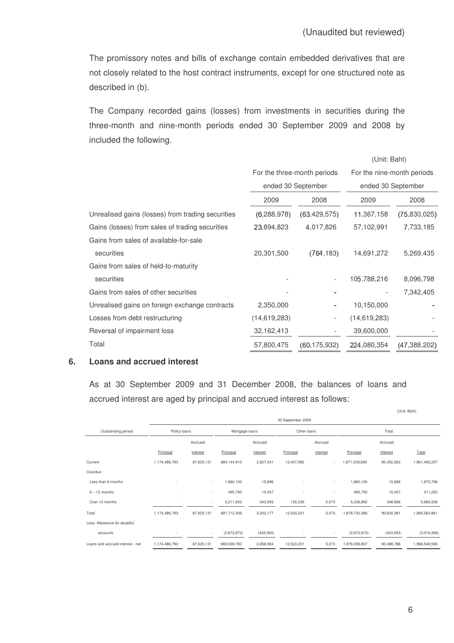$(1 \text{ half.} \text{ peak})$ 

The promissory notes and bills of exchange contain embedded derivatives that are not closely related to the host contract instruments, except for one structured note as described in (b).

The Company recorded gains (losses) from investments in securities during the three-month and nine-month periods ended 30 September 2009 and 2008 by included the following.

|                                                   |                             |                          | (UNII. Dani)               |              |  |
|---------------------------------------------------|-----------------------------|--------------------------|----------------------------|--------------|--|
|                                                   | For the three-month periods |                          | For the nine-month periods |              |  |
|                                                   |                             | ended 30 September       | ended 30 September         |              |  |
|                                                   | 2009<br>2008                |                          | 2009                       | 2008         |  |
| Unrealised gains (losses) from trading securities | (6, 288, 978)               | (63, 429, 575)           | 11,367,158                 | (75,830,025) |  |
| Gains (losses) from sales of trading securities   | 23,894,823                  | 4,017,826                | 57,102,991                 | 7,733,185    |  |
| Gains from sales of available-for-sale            |                             |                          |                            |              |  |
| securities                                        | 20,301,500                  | (764, 183)               | 14,691,272                 | 5,269,435    |  |
| Gains from sales of held-to-maturity              |                             |                          |                            |              |  |
| securities                                        |                             |                          | 105,788,216                | 8,096,798    |  |
| Gains from sales of other securities              |                             |                          |                            | 7,342,405    |  |
| Unrealised gains on foreign exchange contracts    | 2,350,000                   |                          | 10,150,000                 |              |  |
| Losses from debt restructuring                    | (14,619,283)                | $\overline{\phantom{0}}$ | (14,619,283)               |              |  |
| Reversal of impairment loss                       | 32,162,413                  |                          | 39,600,000                 |              |  |
| Total                                             | 57,800,475                  | (60, 175, 932)           | 224,080,354                | (47,388,202) |  |

### **6. Loans and accrued interest**

As at 30 September 2009 and 31 December 2008, the balances of loans and accrued interest are aged by principal and accrued interest as follows:

|                                  | 30 September 2009        |                          |                |           |             |                          |               |            |               |
|----------------------------------|--------------------------|--------------------------|----------------|-----------|-------------|--------------------------|---------------|------------|---------------|
| Outstanding period               | Policy loans             |                          | Mortgage loans |           | Other loans |                          |               | Total      |               |
|                                  |                          | Accrued                  |                | Accrued   |             | Accrued                  |               | Accrued    |               |
|                                  | Principal                | interest                 | Principal      | interest  | Principal   | interest                 | Principal     | interest   | Total         |
| Current                          | 1,174,486,793            | 87,625,131               | 684,144,910    | 2,827,431 | 12,407,992  | $\sim$                   | 1,871,039,695 | 90,452,562 | 1,961,492,257 |
| Overdue:                         |                          |                          |                |           |             |                          |               |            |               |
| Less than 6 months               | $\overline{a}$           | $\overline{\phantom{a}}$ | 1,860,100      | 15,696    |             | $\overline{\phantom{a}}$ | 1,860,100     | 15,696     | 1,875,796     |
| $6 - 12$ months                  |                          | ٠                        | 495,793        | 15,457    |             |                          | 495,793       | 15,457     | 511,250       |
| Over 12 months                   |                          | $\overline{\phantom{a}}$ | 5,211,653      | 343,593   | 125,239     | 5,073                    | 5,336,892     | 348,666    | 5,685,558     |
| Total                            | 1,174,486,793            | 87,625,131               | 691,712,456    | 3,202,177 | 12,533,231  | 5,073                    | 1,878,732,480 | 90,832,381 | 1,969,564,861 |
| Less: Allowance for doubtful     |                          |                          |                |           |             |                          |               |            |               |
| accounts                         | $\overline{\phantom{a}}$ | $\overline{\phantom{a}}$ | (2,672,673)    | (343,593) |             | $\overline{\phantom{a}}$ | (2,672,673)   | (343,593)  | (3,016,266)   |
| Loans and accrued interest - net | 1,174,486,793            | 87,625,131               | 689,039,783    | 2,858,584 | 12,533,231  | 5,073                    | 1,876,059,807 | 90,488,788 | 1,966,548,595 |

(Unit: Baht)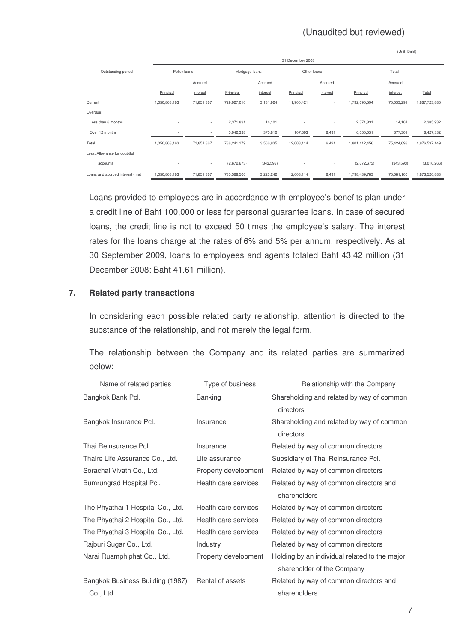|                                  |               |            |                |           |                  |          |               | (Unit: Baht) |               |
|----------------------------------|---------------|------------|----------------|-----------|------------------|----------|---------------|--------------|---------------|
|                                  |               |            |                |           | 31 December 2008 |          |               |              |               |
| Outstanding period               | Policy loans  |            | Mortgage loans |           | Other loans      |          |               | Total        |               |
|                                  |               | Accrued    |                | Accrued   |                  | Accrued  |               | Accrued      |               |
|                                  | Principal     | interest   | Principal      | interest  | Principal        | interest | Principal     | interest     | Total         |
| Current                          | 1,050,863,163 | 71,851,367 | 729,927,010    | 3,181,924 | 11,900,421       | ٠        | 1,792,690,594 | 75,033,291   | 1,867,723,885 |
| Overdue:                         |               |            |                |           |                  |          |               |              |               |
| Less than 6 months               |               | $\sim$     | 2,371,831      | 14,101    |                  | ٠        | 2,371,831     | 14,101       | 2,385,932     |
| Over 12 months                   |               | $\sim$     | 5,942,338      | 370,810   | 107,693          | 6,491    | 6,050,031     | 377,301      | 6,427,332     |
| Total                            | 1,050,863,163 | 71,851,367 | 738,241,179    | 3,566,835 | 12,008,114       | 6,491    | 1,801,112,456 | 75,424,693   | 1,876,537,149 |
| Less: Allowance for doubtful     |               |            |                |           |                  |          |               |              |               |
| accounts                         |               | $\sim$     | (2,672,673)    | (343,593) |                  | ٠        | (2,672,673)   | (343,593)    | (3,016,266)   |
| Loans and accrued interest - net | 1,050,863,163 | 71,851,367 | 735,568,506    | 3,223,242 | 12,008,114       | 6,491    | 1,798,439,783 | 75,081,100   | 1,873,520,883 |

Loans provided to employees are in accordance with employee's benefits plan under a credit line of Baht 100,000 or less for personal guarantee loans. In case of secured loans, the credit line is not to exceed 50 times the employee's salary. The interest rates for the loans charge at the rates of 6% and 5% per annum, respectively. As at 30 September 2009, loans to employees and agents totaled Baht 43.42 million (31 December 2008: Baht 41.61 million).

# **7. Related party transactions**

In considering each possible related party relationship, attention is directed to the substance of the relationship, and not merely the legal form.

The relationship between the Company and its related parties are summarized below:

| Name of related parties           | Type of business     | Relationship with the Company                          |
|-----------------------------------|----------------------|--------------------------------------------------------|
| Bangkok Bank Pcl.                 | <b>Banking</b>       | Shareholding and related by way of common<br>directors |
| Bangkok Insurance Pcl.            | Insurance            | Shareholding and related by way of common<br>directors |
| Thai Reinsurance Pcl.             | Insurance            | Related by way of common directors                     |
| Thaire Life Assurance Co., Ltd.   | Life assurance       | Subsidiary of Thai Reinsurance Pcl.                    |
| Sorachai Vivatn Co., Ltd.         | Property development | Related by way of common directors                     |
| Bumrungrad Hospital Pcl.          | Health care services | Related by way of common directors and                 |
|                                   |                      | shareholders                                           |
| The Phyathai 1 Hospital Co., Ltd. | Health care services | Related by way of common directors                     |
| The Phyathai 2 Hospital Co., Ltd. | Health care services | Related by way of common directors                     |
| The Phyathai 3 Hospital Co., Ltd. | Health care services | Related by way of common directors                     |
| Rajburi Sugar Co., Ltd.           | Industry             | Related by way of common directors                     |
| Narai Ruamphiphat Co., Ltd.       | Property development | Holding by an individual related to the major          |
|                                   |                      | shareholder of the Company                             |
| Bangkok Business Building (1987)  | Rental of assets     | Related by way of common directors and                 |
| Co., Ltd.                         |                      | shareholders                                           |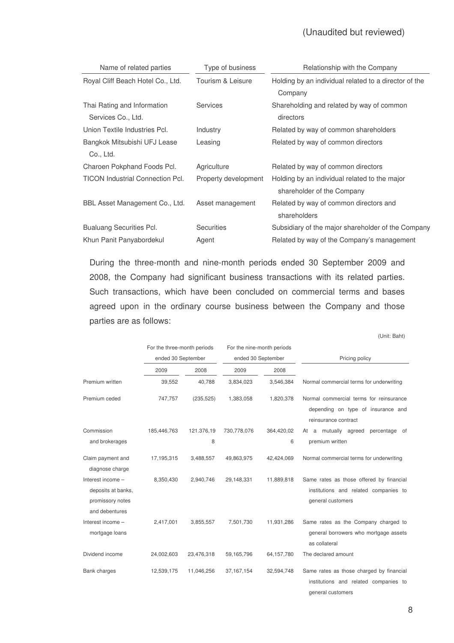| Name of related parties                 | Type of business     | Relationship with the Company                         |
|-----------------------------------------|----------------------|-------------------------------------------------------|
| Royal Cliff Beach Hotel Co., Ltd.       | Tourism & Leisure    | Holding by an individual related to a director of the |
|                                         |                      | Company                                               |
| Thai Rating and Information             | <b>Services</b>      | Shareholding and related by way of common             |
| Services Co., Ltd.                      |                      | directors                                             |
| Union Textile Industries Pcl.           | Industry             | Related by way of common shareholders                 |
| Bangkok Mitsubishi UFJ Lease            | Leasing              | Related by way of common directors                    |
| Co., Ltd.                               |                      |                                                       |
| Charoen Pokphand Foods Pcl.             | Agriculture          | Related by way of common directors                    |
| <b>TICON Industrial Connection Pcl.</b> | Property development | Holding by an individual related to the major         |
|                                         |                      | shareholder of the Company                            |
| BBL Asset Management Co., Ltd.          | Asset management     | Related by way of common directors and                |
|                                         |                      | shareholders                                          |
| <b>Bualuang Securities Pcl.</b>         | <b>Securities</b>    | Subsidiary of the major shareholder of the Company    |
| Khun Panit Panyabordekul                | Agent                | Related by way of the Company's management            |

During the three-month and nine-month periods ended 30 September 2009 and 2008, the Company had significant business transactions with its related parties. Such transactions, which have been concluded on commercial terms and bases agreed upon in the ordinary course business between the Company and those parties are as follows:

|                                                                               | For the three-month periods |            | For the nine-month periods |              |                                                                                                        |
|-------------------------------------------------------------------------------|-----------------------------|------------|----------------------------|--------------|--------------------------------------------------------------------------------------------------------|
|                                                                               | ended 30 September          |            | ended 30 September         |              | Pricing policy                                                                                         |
|                                                                               | 2009                        | 2008       | 2009                       | 2008         |                                                                                                        |
| Premium written                                                               | 39,552                      | 40,788     | 3,834,023                  | 3,546,384    | Normal commercial terms for underwriting                                                               |
| Premium ceded                                                                 | 747,757                     | (235, 525) | 1,383,058                  | 1,820,378    | Normal commercial terms for reinsurance<br>depending on type of insurance and<br>reinsurance contract  |
| Commission                                                                    | 185,446,763                 | 121.376,19 | 730,778,076                | 364,420,02   | At a mutually agreed<br>percentage of                                                                  |
| and brokerages                                                                |                             | 8          |                            | 6            | premium written                                                                                        |
| Claim payment and<br>diagnose charge                                          | 17,195,315                  | 3,488,557  | 49,863,975                 | 42,424,069   | Normal commercial terms for underwriting                                                               |
| Interest income -<br>deposits at banks,<br>promissory notes<br>and debentures | 8,350,430                   | 2,940,746  | 29,148,331                 | 11,889,818   | Same rates as those offered by financial<br>institutions and related companies to<br>general customers |
| Interest income -<br>mortgage loans                                           | 2,417,001                   | 3,855,557  | 7,501,730                  | 11,931,286   | Same rates as the Company charged to<br>general borrowers who mortgage assets<br>as collateral         |
| Dividend income                                                               | 24,002,603                  | 23,476,318 | 59,165,796                 | 64, 157, 780 | The declared amount                                                                                    |
| <b>Bank charges</b>                                                           | 12,539,175                  | 11,046,256 | 37, 167, 154               | 32,594,748   | Same rates as those charged by financial<br>institutions and related companies to<br>general customers |

(Unit: Baht)

8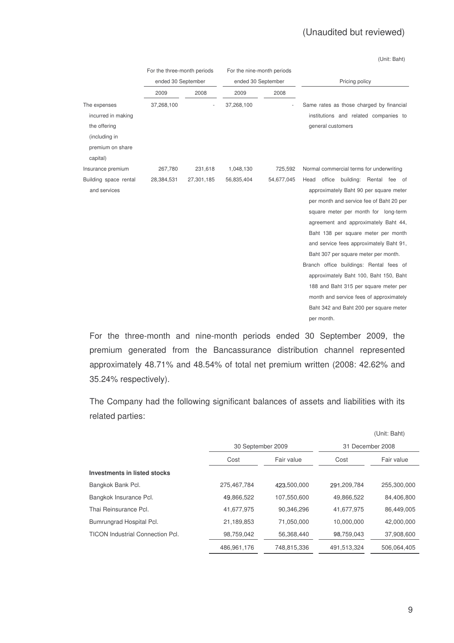(Unit: Baht)

|                                                                                         | For the three-month periods |            | For the nine-month periods |            |                                                                                                                                                                                                                                                                                                                                                                                                                                                                                                                                                                            |  |  |
|-----------------------------------------------------------------------------------------|-----------------------------|------------|----------------------------|------------|----------------------------------------------------------------------------------------------------------------------------------------------------------------------------------------------------------------------------------------------------------------------------------------------------------------------------------------------------------------------------------------------------------------------------------------------------------------------------------------------------------------------------------------------------------------------------|--|--|
|                                                                                         | ended 30 September          |            | ended 30 September         |            | Pricing policy                                                                                                                                                                                                                                                                                                                                                                                                                                                                                                                                                             |  |  |
|                                                                                         | 2009                        | 2008       | 2009                       | 2008       |                                                                                                                                                                                                                                                                                                                                                                                                                                                                                                                                                                            |  |  |
| The expenses<br>incurred in making<br>the offering<br>(including in<br>premium on share | 37,268,100                  |            | 37,268,100                 |            | Same rates as those charged by financial<br>institutions and related companies to<br>general customers                                                                                                                                                                                                                                                                                                                                                                                                                                                                     |  |  |
| capital)<br>Insurance premium                                                           | 267,780                     | 231,618    | 1,048,130                  | 725,592    | Normal commercial terms for underwriting                                                                                                                                                                                                                                                                                                                                                                                                                                                                                                                                   |  |  |
| Building space rental<br>and services                                                   | 28,384,531                  | 27,301,185 | 56,835,404                 | 54,677,045 | office<br>building: Rental fee of<br>Head<br>approximately Baht 90 per square meter<br>per month and service fee of Baht 20 per<br>square meter per month for long-term<br>agreement and approximately Baht 44,<br>Baht 138 per square meter per month<br>and service fees approximately Baht 91,<br>Baht 307 per square meter per month.<br>Branch office buildings: Rental fees of<br>approximately Baht 100, Baht 150, Baht<br>188 and Baht 315 per square meter per<br>month and service fees of approximately<br>Baht 342 and Baht 200 per square meter<br>per month. |  |  |

For the three-month and nine-month periods ended 30 September 2009, the premium generated from the Bancassurance distribution channel represented approximately 48.71% and 48.54% of total net premium written (2008: 42.62% and 35.24% respectively).

The Company had the following significant balances of assets and liabilities with its related parties:

|                                         |                    |             |                  | (Unit: Baht) |  |
|-----------------------------------------|--------------------|-------------|------------------|--------------|--|
|                                         | 30 September 2009  |             | 31 December 2008 |              |  |
|                                         | Fair value<br>Cost |             | Cost             | Fair value   |  |
| Investments in listed stocks            |                    |             |                  |              |  |
| Bangkok Bank Pcl.                       | 275,467,784        | 423,500,000 | 291,209,784      | 255,300,000  |  |
| Bangkok Insurance Pcl.                  | 49,866,522         | 107,550,600 | 49,866,522       | 84,406,800   |  |
| Thai Reinsurance Pcl.                   | 41,677,975         | 90,346,296  | 41,677,975       | 86,449,005   |  |
| Bumrungrad Hospital Pcl.                | 21,189,853         | 71,050,000  | 10,000,000       | 42,000,000   |  |
| <b>TICON Industrial Connection Pcl.</b> | 98,759,042         | 56,368,440  | 98,759,043       | 37,908,600   |  |
|                                         | 486,961,176        | 748,815,336 | 491,513,324      | 506.064.405  |  |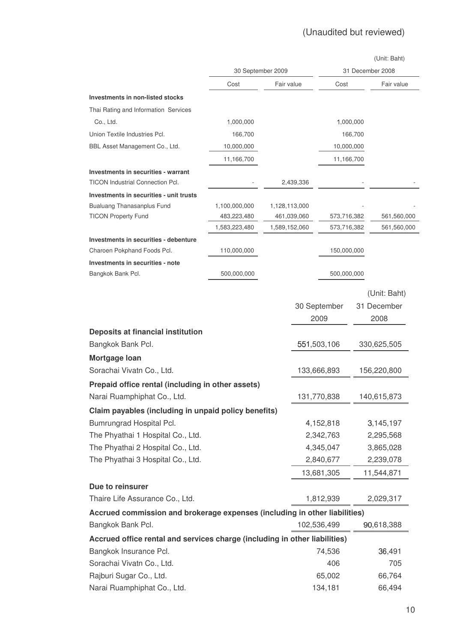|                                                                            |               |                   |             |              |           | (Unit: Baht)     |  |
|----------------------------------------------------------------------------|---------------|-------------------|-------------|--------------|-----------|------------------|--|
|                                                                            |               | 30 September 2009 |             |              |           | 31 December 2008 |  |
|                                                                            | Cost          | Fair value        |             | Cost         |           | Fair value       |  |
| <b>Investments in non-listed stocks</b>                                    |               |                   |             |              |           |                  |  |
| Thai Rating and Information Services                                       |               |                   |             |              |           |                  |  |
| Co., Ltd.                                                                  | 1,000,000     |                   |             |              | 1,000,000 |                  |  |
| Union Textile Industries Pcl.                                              | 166,700       |                   |             |              | 166,700   |                  |  |
| BBL Asset Management Co., Ltd.                                             | 10,000,000    |                   |             | 10,000,000   |           |                  |  |
|                                                                            | 11,166,700    |                   |             | 11,166,700   |           |                  |  |
| <b>Investments in securities - warrant</b>                                 |               |                   |             |              |           |                  |  |
| TICON Industrial Connection Pcl.                                           |               |                   | 2,439,336   |              |           |                  |  |
| Investments in securities - unit trusts                                    |               |                   |             |              |           |                  |  |
| <b>Bualuang Thanasanplus Fund</b>                                          | 1,100,000,000 | 1,128,113,000     |             |              |           |                  |  |
| <b>TICON Property Fund</b>                                                 | 483,223,480   |                   | 461,039,060 | 573,716,382  |           | 561,560,000      |  |
|                                                                            | 1,583,223,480 | 1,589,152,060     |             | 573,716,382  |           | 561,560,000      |  |
| Investments in securities - debenture                                      |               |                   |             |              |           |                  |  |
| Charoen Pokphand Foods Pcl.                                                | 110,000,000   |                   |             | 150,000,000  |           |                  |  |
| Investments in securities - note                                           |               |                   |             |              |           |                  |  |
| Bangkok Bank Pcl.                                                          | 500,000,000   |                   |             | 500,000,000  |           |                  |  |
|                                                                            |               |                   |             |              |           | (Unit: Baht)     |  |
|                                                                            |               |                   |             |              |           |                  |  |
|                                                                            |               |                   |             | 30 September |           | 31 December      |  |
|                                                                            |               |                   |             | 2009         |           | 2008             |  |
| Deposits at financial institution                                          |               |                   |             |              |           |                  |  |
| Bangkok Bank Pcl.                                                          |               |                   |             | 551,503,106  |           | 330,625,505      |  |
| Mortgage Ioan                                                              |               |                   |             |              |           |                  |  |
| Sorachai Vivatn Co., Ltd.                                                  |               |                   |             | 133,666,893  |           | 156,220,800      |  |
| Prepaid office rental (including in other assets)                          |               |                   |             |              |           |                  |  |
| Narai Ruamphiphat Co., Ltd.                                                |               |                   |             | 131,770,838  |           | 140,615,873      |  |
| Claim payables (including in unpaid policy benefits)                       |               |                   |             |              |           |                  |  |
| Bumrungrad Hospital Pcl.                                                   |               |                   |             | 4,152,818    |           | 3,145,197        |  |
| The Phyathai 1 Hospital Co., Ltd.                                          |               |                   |             | 2,342,763    |           | 2,295,568        |  |
| The Phyathai 2 Hospital Co., Ltd.                                          |               |                   |             | 4,345,047    |           | 3,865,028        |  |
| The Phyathai 3 Hospital Co., Ltd.                                          |               |                   |             | 2,840,677    |           | 2,239,078        |  |
|                                                                            |               |                   |             | 13,681,305   |           | 11,544,871       |  |
| Due to reinsurer                                                           |               |                   |             |              |           |                  |  |
| Thaire Life Assurance Co., Ltd.                                            |               |                   |             | 1,812,939    |           | 2,029,317        |  |
| Accrued commission and brokerage expenses (including in other liabilities) |               |                   |             |              |           |                  |  |
| Bangkok Bank Pcl.                                                          |               |                   |             | 102,536,499  |           | 90,618,388       |  |
| Accrued office rental and services charge (including in other liabilities) |               |                   |             |              |           |                  |  |
| Bangkok Insurance Pcl.                                                     |               |                   |             | 74,536       |           | 36,491           |  |
| Sorachai Vivatn Co., Ltd.                                                  |               |                   |             | 406          |           | 705              |  |
|                                                                            |               |                   |             | 65,002       |           |                  |  |
| Rajburi Sugar Co., Ltd.                                                    |               |                   |             |              |           | 66,764           |  |
| Narai Ruamphiphat Co., Ltd.                                                |               |                   |             | 134,181      |           | 66,494           |  |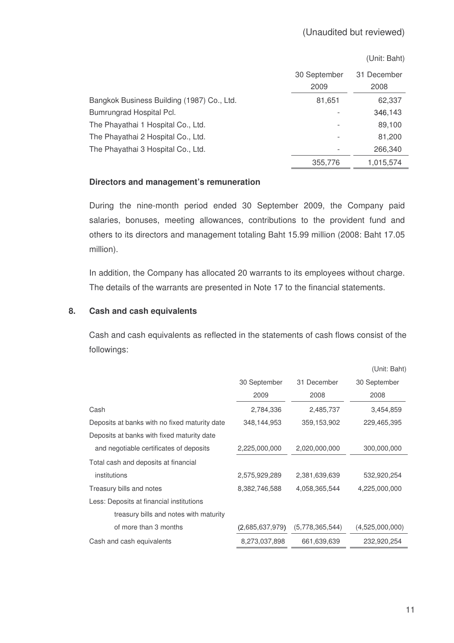|                                            |              | (Unit: Baht) |
|--------------------------------------------|--------------|--------------|
|                                            | 30 September | 31 December  |
|                                            | 2009         | 2008         |
| Bangkok Business Building (1987) Co., Ltd. | 81,651       | 62,337       |
| Bumrungrad Hospital Pcl.                   |              | 346,143      |
| The Phayathai 1 Hospital Co., Ltd.         |              | 89,100       |
| The Phayathai 2 Hospital Co., Ltd.         |              | 81,200       |
| The Phayathai 3 Hospital Co., Ltd.         |              | 266,340      |
|                                            | 355,776      | 1,015,574    |

# **Directors and management's remuneration**

During the nine-month period ended 30 September 2009, the Company paid salaries, bonuses, meeting allowances, contributions to the provident fund and others to its directors and management totaling Baht 15.99 million (2008: Baht 17.05 million).

In addition, the Company has allocated 20 warrants to its employees without charge. The details of the warrants are presented in Note 17 to the financial statements.

### **8. Cash and cash equivalents**

Cash and cash equivalents as reflected in the statements of cash flows consist of the followings:

|                                               |                 |                 | (Unit: Baht)    |
|-----------------------------------------------|-----------------|-----------------|-----------------|
|                                               | 30 September    | 31 December     | 30 September    |
|                                               | 2009            | 2008            | 2008            |
| Cash                                          | 2,784,336       | 2,485,737       | 3,454,859       |
| Deposits at banks with no fixed maturity date | 348,144,953     | 359,153,902     | 229,465,395     |
| Deposits at banks with fixed maturity date    |                 |                 |                 |
| and negotiable certificates of deposits       | 2,225,000,000   | 2,020,000,000   | 300,000,000     |
| Total cash and deposits at financial          |                 |                 |                 |
| institutions                                  | 2,575,929,289   | 2,381,639,639   | 532,920,254     |
| Treasury bills and notes                      | 8,382,746,588   | 4,058,365,544   | 4,225,000,000   |
| Less: Deposits at financial institutions      |                 |                 |                 |
| treasury bills and notes with maturity        |                 |                 |                 |
| of more than 3 months                         | (2,685,637,979) | (5,778,365,544) | (4,525,000,000) |
| Cash and cash equivalents                     | 8,273,037,898   | 661,639,639     | 232,920,254     |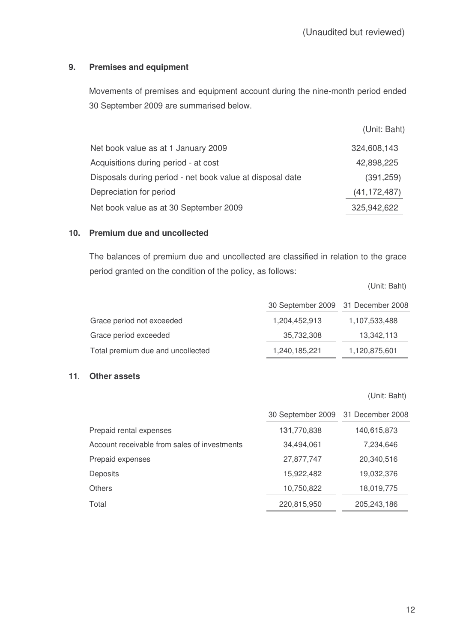# **9. Premises and equipment**

Movements of premises and equipment account during the nine-month period ended 30 September 2009 are summarised below.

|                                                           | (Unit: Baht)   |
|-----------------------------------------------------------|----------------|
| Net book value as at 1 January 2009                       | 324,608,143    |
| Acquisitions during period - at cost                      | 42,898,225     |
| Disposals during period - net book value at disposal date | (391, 259)     |
| Depreciation for period                                   | (41, 172, 487) |
| Net book value as at 30 September 2009                    | 325,942,622    |

# **10. Premium due and uncollected**

The balances of premium due and uncollected are classified in relation to the grace period granted on the condition of the policy, as follows:

|                                   | 30 September 2009 31 December 2008 |               |
|-----------------------------------|------------------------------------|---------------|
| Grace period not exceeded         | 1,204,452,913                      | 1,107,533,488 |
| Grace period exceeded             | 35,732,308                         | 13,342,113    |
| Total premium due and uncollected | 1,240,185,221                      | 1,120,875,601 |

# **11**- **Other assets**

(Unit: Baht)

(Unit: Baht)

|                                              | 30 September 2009 31 December 2008 |             |
|----------------------------------------------|------------------------------------|-------------|
| Prepaid rental expenses                      | 131,770,838                        | 140,615,873 |
| Account receivable from sales of investments | 34,494,061                         | 7,234,646   |
| Prepaid expenses                             | 27,877,747                         | 20,340,516  |
| <b>Deposits</b>                              | 15,922,482                         | 19,032,376  |
| <b>Others</b>                                | 10,750,822                         | 18,019,775  |
| Total                                        | 220,815,950                        | 205,243,186 |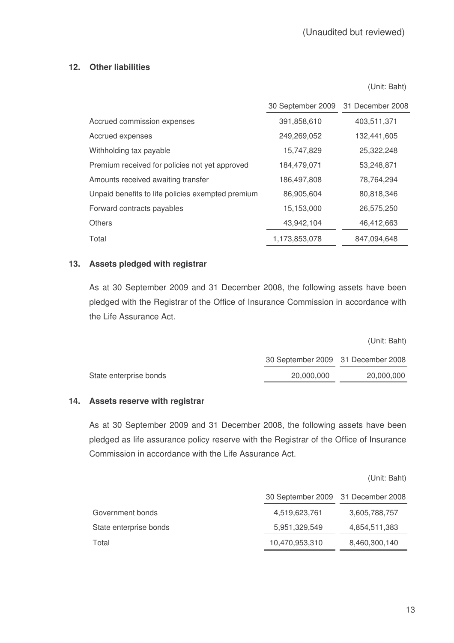# **12. Other liabilities**

(Unit: Baht)

|                                                   | 30 September 2009 31 December 2008 |             |
|---------------------------------------------------|------------------------------------|-------------|
| Accrued commission expenses                       | 391,858,610                        | 403,511,371 |
| Accrued expenses                                  | 249,269,052                        | 132,441,605 |
| Withholding tax payable                           | 15,747,829                         | 25,322,248  |
| Premium received for policies not yet approved    | 184,479,071                        | 53,248,871  |
| Amounts received awaiting transfer                | 186,497,808                        | 78,764,294  |
| Unpaid benefits to life policies exempted premium | 86,905,604                         | 80,818,346  |
| Forward contracts payables                        | 15,153,000                         | 26,575,250  |
| <b>Others</b>                                     | 43,942,104                         | 46,412,663  |
| Total                                             | 1,173,853,078                      | 847,094,648 |

# **13. Assets pledged with registrar**

As at 30 September 2009 and 31 December 2008, the following assets have been pledged with the Registrar of the Office of Insurance Commission in accordance with the Life Assurance Act.

|                        |                                    | (Unit: Baht) |
|------------------------|------------------------------------|--------------|
|                        | 30 September 2009 31 December 2008 |              |
| State enterprise bonds | 20,000,000                         | 20,000,000   |
|                        |                                    |              |

### **14. Assets reserve with registrar**

As at 30 September 2009 and 31 December 2008, the following assets have been pledged as life assurance policy reserve with the Registrar of the Office of Insurance Commission in accordance with the Life Assurance Act.

(Unit: Baht)

|                        | 30 September 2009 31 December 2008 |               |
|------------------------|------------------------------------|---------------|
| Government bonds       | 4,519,623,761                      | 3,605,788,757 |
| State enterprise bonds | 5,951,329,549                      | 4,854,511,383 |
| Total                  | 10,470,953,310                     | 8,460,300,140 |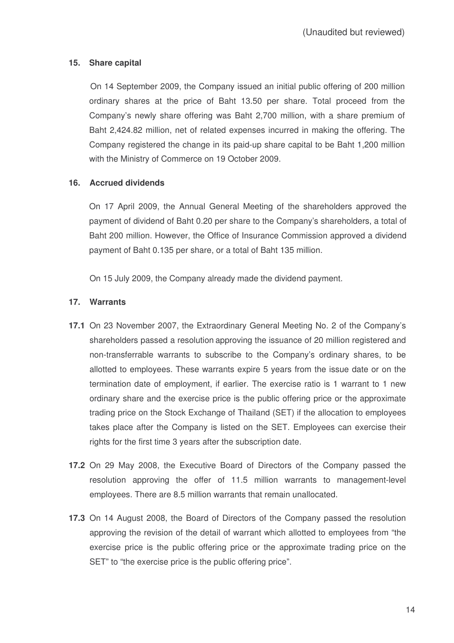# **15. Share capital**

On 14 September 2009, the Company issued an initial public offering of 200 million ordinary shares at the price of Baht 13.50 per share. Total proceed from the Company's newly share offering was Baht 2,700 million, with a share premium of Baht 2,424.82 million, net of related expenses incurred in making the offering. The Company registered the change in its paid-up share capital to be Baht 1,200 million with the Ministry of Commerce on 19 October 2009.

# **16. Accrued dividends**

On 17 April 2009, the Annual General Meeting of the shareholders approved the payment of dividend of Baht 0.20 per share to the Company's shareholders, a total of Baht 200 million. However, the Office of Insurance Commission approved a dividend payment of Baht 0.135 per share, or a total of Baht 135 million.

On 15 July 2009, the Company already made the dividend payment.

# **17. Warrants**

- **17.1** On 23 November 2007, the Extraordinary General Meeting No. 2 of the Company's shareholders passed a resolution approving the issuance of 20 million registered and non-transferrable warrants to subscribe to the Company's ordinary shares, to be allotted to employees. These warrants expire 5 years from the issue date or on the termination date of employment, if earlier. The exercise ratio is 1 warrant to 1 new ordinary share and the exercise price is the public offering price or the approximate trading price on the Stock Exchange of Thailand (SET) if the allocation to employees takes place after the Company is listed on the SET. Employees can exercise their rights for the first time 3 years after the subscription date.
- **17.2** On 29 May 2008, the Executive Board of Directors of the Company passed the resolution approving the offer of 11.5 million warrants to management-level employees. There are 8.5 million warrants that remain unallocated.
- **17.3** On 14 August 2008, the Board of Directors of the Company passed the resolution approving the revision of the detail of warrant which allotted to employees from "the exercise price is the public offering price or the approximate trading price on the SET" to "the exercise price is the public offering price".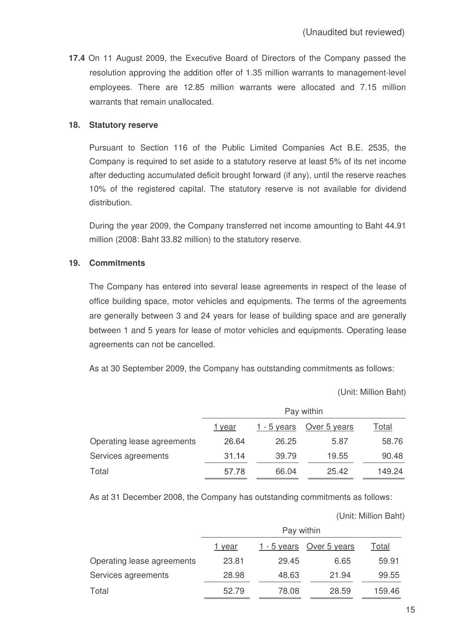**17.4** On 11 August 2009, the Executive Board of Directors of the Company passed the resolution approving the addition offer of 1.35 million warrants to management-level employees. There are 12.85 million warrants were allocated and 7.15 million warrants that remain unallocated.

### **18. Statutory reserve**

Pursuant to Section 116 of the Public Limited Companies Act B.E. 2535, the Company is required to set aside to a statutory reserve at least 5% of its net income after deducting accumulated deficit brought forward (if any), until the reserve reaches 10% of the registered capital. The statutory reserve is not available for dividend distribution.

During the year 2009, the Company transferred net income amounting to Baht 44.91 million (2008: Baht 33.82 million) to the statutory reserve.

# **19. Commitments**

The Company has entered into several lease agreements in respect of the lease of office building space, motor vehicles and equipments. The terms of the agreements are generally between 3 and 24 years for lease of building space and are generally between 1 and 5 years for lease of motor vehicles and equipments. Operating lease agreements can not be cancelled.

As at 30 September 2009, the Company has outstanding commitments as follows:

(Unit: Million Baht)

|                            | Pay within |             |              |        |
|----------------------------|------------|-------------|--------------|--------|
|                            | 1 year     | 1 - 5 years | Over 5 years | Total  |
| Operating lease agreements | 26.64      | 26.25       | 5.87         | 58.76  |
| Services agreements        | 31.14      | 39.79       | 19.55        | 90.48  |
| Total                      | 57.78      | 66.04       | 25.42        | 149.24 |

As at 31 December 2008, the Company has outstanding commitments as follows:

(Unit: Million Baht)

|                            | Pay within |             |              |        |
|----------------------------|------------|-------------|--------------|--------|
|                            | 1 year     | 1 - 5 years | Over 5 years | Total  |
| Operating lease agreements | 23.81      | 29.45       | 6.65         | 59.91  |
| Services agreements        | 28.98      | 48.63       | 21.94        | 99.55  |
| Total                      | 52.79      | 78.08       | 28.59        | 159.46 |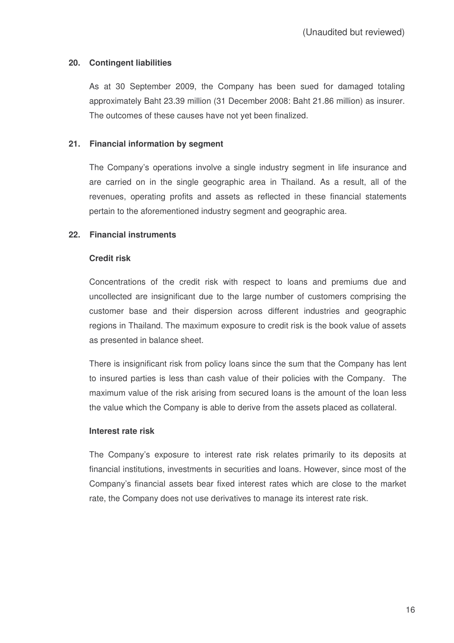# **20. Contingent liabilities**

As at 30 September 2009, the Company has been sued for damaged totaling approximately Baht 23.39 million (31 December 2008: Baht 21.86 million) as insurer. The outcomes of these causes have not yet been finalized

# **21. Financial information by segment**

The Company's operations involve a single industry segment in life insurance and are carried on in the single geographic area in Thailand. As a result, all of the revenues, operating profits and assets as reflected in these financial statements pertain to the aforementioned industry segment and geographic area.

# **22. Financial instruments**

### **Credit risk**

Concentrations of the credit risk with respect to loans and premiums due and uncollected are insignificant due to the large number of customers comprising the customer base and their dispersion across different industries and geographic regions in Thailand. The maximum exposure to credit risk is the book value of assets as presented in balance sheet.

There is insignificant risk from policy loans since the sum that the Company has lent to insured parties is less than cash value of their policies with the Company. The maximum value of the risk arising from secured loans is the amount of the loan less the value which the Company is able to derive from the assets placed as collateral.

### **Interest rate risk**

The Company's exposure to interest rate risk relates primarily to its deposits at financial institutions, investments in securities and loans. However, since most of the Company's financial assets bear fixed interest rates which are close to the market rate, the Company does not use derivatives to manage its interest rate risk.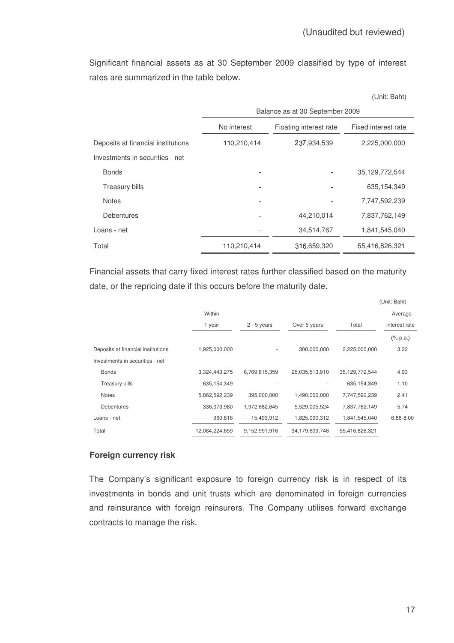Significant financial assets as at 30 September 2009 classified by type of interest rates are summarized in the table below.

(Unit: Baht)

|                                    | Balance as at 30 September 2009 |                     |                |  |
|------------------------------------|---------------------------------|---------------------|----------------|--|
|                                    | No interest                     | Fixed interest rate |                |  |
| Deposits at financial institutions | 110,210,414                     | 237,934,539         | 2,225,000,000  |  |
| Investments in securities - net    |                                 |                     |                |  |
| <b>Bonds</b>                       |                                 |                     | 35,129,772,544 |  |
| <b>Treasury bills</b>              |                                 |                     | 635,154,349    |  |
| <b>Notes</b>                       |                                 |                     | 7,747,592,239  |  |
| <b>Debentures</b>                  |                                 | 44,210,014          | 7,837,762,149  |  |
| Loans - net                        |                                 | 34,514,767          | 1,841,545,040  |  |
| Total                              | 110,210,414                     | 316,659,320         | 55,416,826,321 |  |

Financial assets that carry fixed interest rates further classified based on the maturity date, or the repricing date if this occurs before the maturity date.

|                                    |                |               |                |                | (Unit: Baht)  |
|------------------------------------|----------------|---------------|----------------|----------------|---------------|
|                                    | Within         |               |                |                | Average       |
|                                    | 1 year         | $2 - 5$ years | Over 5 years   | Total          | interest rate |
|                                    |                |               |                |                | $(\%$ p.a.)   |
| Deposits at financial institutions | 1,925,000,000  |               | 300,000,000    | 2,225,000,000  | 3.22          |
| Investments in securities - net    |                |               |                |                |               |
| <b>Bonds</b>                       | 3,324,443,275  | 6,769,815,359 | 25,035,513,910 | 35,129,772,544 | 4.93          |
| <b>Treasury bills</b>              | 635, 154, 349  |               |                | 635, 154, 349  | 1.10          |
| <b>Notes</b>                       | 5,862,592,239  | 395,000,000   | 1,490,000,000  | 7,747,592,239  | 2.41          |
| <b>Debentures</b>                  | 336,073,980    | 1,972,682,645 | 5,529,005,524  | 7,837,762,149  | 5.74          |
| Loans - net                        | 960,816        | 15,493,912    | 1,825,090,312  | 1,841,545,040  | 6.88-8.00     |
| Total                              | 12,084,224,659 | 9,152,991,916 | 34,179,609,746 | 55,416,826,321 |               |

### **Foreign currency risk**

The Company's significant exposure to foreign currency risk is in respect of its investments in bonds and unit trusts which are denominated in foreign currencies and reinsurance with foreign reinsurers. The Company utilises forward exchange contracts to manage the risk.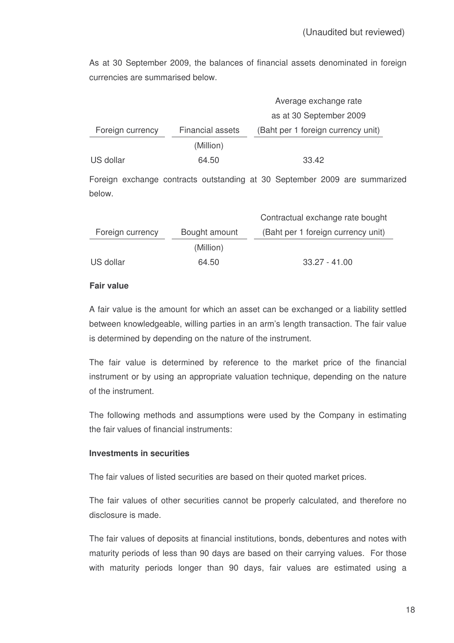As at 30 September 2009, the balances of financial assets denominated in foreign currencies are summarised below.

|                  |                  | Average exchange rate              |
|------------------|------------------|------------------------------------|
|                  |                  | as at 30 September 2009            |
| Foreign currency | Financial assets | (Baht per 1 foreign currency unit) |
|                  | (Million)        |                                    |
| US dollar        | 64.50            | 33.42                              |

Foreign exchange contracts outstanding at 30 September 2009 are summarized below.

|                  |               | Contractual exchange rate bought   |
|------------------|---------------|------------------------------------|
| Foreign currency | Bought amount | (Baht per 1 foreign currency unit) |
|                  | (Million)     |                                    |
| US dollar        | 64.50         | $33.27 - 41.00$                    |

# **Fair value**

A fair value is the amount for which an asset can be exchanged or a liability settled between knowledgeable, willing parties in an arm's length transaction. The fair value is determined by depending on the nature of the instrument.

The fair value is determined by reference to the market price of the financial instrument or by using an appropriate valuation technique, depending on the nature of the instrument.

The following methods and assumptions were used by the Company in estimating the fair values of financial instruments:

# **Investments in securities**

The fair values of listed securities are based on their quoted market prices.

The fair values of other securities cannot be properly calculated, and therefore no disclosure is made.

The fair values of deposits at financial institutions, bonds, debentures and notes with maturity periods of less than 90 days are based on their carrying values. For those with maturity periods longer than 90 days, fair values are estimated using a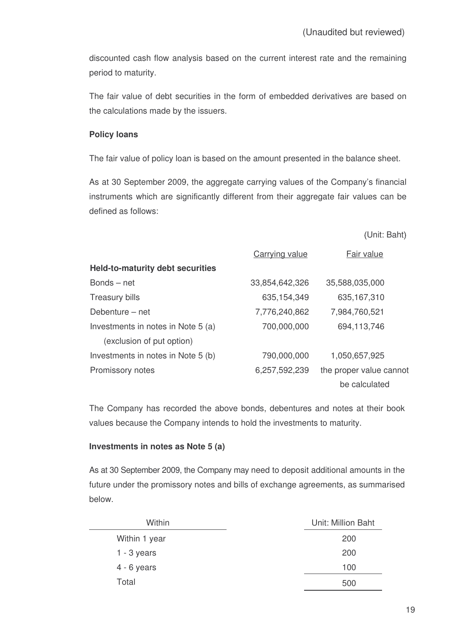discounted cash flow analysis based on the current interest rate and the remaining period to maturity.

The fair value of debt securities in the form of embedded derivatives are based on the calculations made by the issuers.

### **Policy loans**

The fair value of policy loan is based on the amount presented in the balance sheet.

As at 30 September 2009, the aggregate carrying values of the Company's financial instruments which are significantly different from their aggregate fair values can be defined as follows:

| (Unit: Baht) |  |
|--------------|--|
|--------------|--|

|                                         | <b>Carrying value</b> | Fair value              |
|-----------------------------------------|-----------------------|-------------------------|
| <b>Held-to-maturity debt securities</b> |                       |                         |
| $Bonds - net$                           | 33,854,642,326        | 35,588,035,000          |
| <b>Treasury bills</b>                   | 635, 154, 349         | 635, 167, 310           |
| Debenture – net                         | 7,776,240,862         | 7,984,760,521           |
| Investments in notes in Note 5 (a)      | 700,000,000           | 694,113,746             |
| (exclusion of put option)               |                       |                         |
| Investments in notes in Note 5 (b)      | 790,000,000           | 1,050,657,925           |
| Promissory notes                        | 6,257,592,239         | the proper value cannot |
|                                         |                       | be calculated           |

The Company has recorded the above bonds, debentures and notes at their book values because the Company intends to hold the investments to maturity.

# **Investments in notes as Note 5 (a)**

As at 30 September 2009, the Company may need to deposit additional amounts in the future under the promissory notes and bills of exchange agreements, as summarised below.

| Within        | Unit: Million Baht |
|---------------|--------------------|
| Within 1 year | 200                |
| $1 - 3$ years | 200                |
| $4 - 6$ years | 100                |
| Total         | 500                |